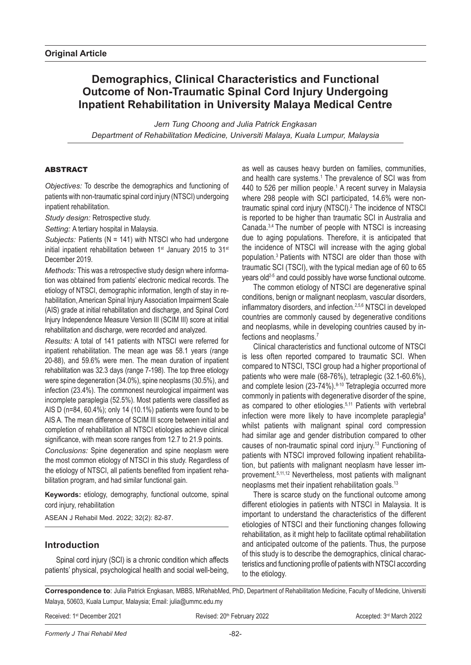# **Demographics, Clinical Characteristics and Functional Outcome of Non-Traumatic Spinal Cord Injury Undergoing Inpatient Rehabilitation in University Malaya Medical Centre**

*Jern Tung Choong and Julia Patrick Engkasan Department of Rehabilitation Medicine, Universiti Malaya, Kuala Lumpur, Malaysia*

## **ABSTRACT**

*Objectives:* To describe the demographics and functioning of patients with non-traumatic spinal cord injury (NTSCI) undergoing inpatient rehabilitation.

*Study design:* Retrospective study.

*Setting:* A tertiary hospital in Malaysia.

*Subjects:* Patients (N = 141) with NTSCI who had undergone initial inpatient rehabilitation between 1<sup>st</sup> January 2015 to 31<sup>st</sup> December 2019.

*Methods:* This was a retrospective study design where information was obtained from patients' electronic medical records. The etiology of NTSCI, demographic information, length of stay in rehabilitation, American Spinal Injury Association Impairment Scale (AIS) grade at initial rehabilitation and discharge, and Spinal Cord Injury Independence Measure Version III (SCIM III) score at initial rehabilitation and discharge, were recorded and analyzed.

*Results:* A total of 141 patients with NTSCI were referred for inpatient rehabilitation. The mean age was 58.1 years (range 20-88), and 59.6% were men. The mean duration of inpatient rehabilitation was 32.3 days (range 7-198). The top three etiology were spine degeneration (34.0%), spine neoplasms (30.5%), and infection (23.4%). The commonest neurological impairment was incomplete paraplegia (52.5%). Most patients were classified as AIS D (n=84, 60.4%); only 14 (10.1%) patients were found to be AIS A. The mean difference of SCIM III score between initial and completion of rehabilitation all NTSCI etiologies achieve clinical significance, with mean score ranges from 12.7 to 21.9 points.

*Conclusions:* Spine degeneration and spine neoplasm were the most common etiology of NTSCI in this study. Regardless of the etiology of NTSCI, all patients benefited from inpatient rehabilitation program, and had similar functional gain.

**Keywords:** etiology, demography, functional outcome, spinal cord injury, rehabilitation

ASEAN J Rehabil Med. 2022; 32(2): 82-87.

## **Introduction**

Spinal cord injury (SCI) is a chronic condition which affects patients' physical, psychological health and social well-being, as well as causes heavy burden on families, communities, and health care systems.<sup>1</sup> The prevalence of SCI was from 440 to 526 per million people.<sup>1</sup> A recent survey in Malaysia where 298 people with SCI participated, 14.6% were nontraumatic spinal cord injury (NTSCI).2 The incidence of NTSCI is reported to be higher than traumatic SCI in Australia and Canada.3,4 The number of people with NTSCI is increasing due to aging populations. Therefore, it is anticipated that the incidence of NTSCI will increase with the aging global population.3 Patients with NTSCI are older than those with traumatic SCI (TSCI), with the typical median age of 60 to 65 years old2-5 and could possibly have worse functional outcome.

The common etiology of NTSCI are degenerative spinal conditions, benign or malignant neoplasm, vascular disorders, inflammatory disorders, and infection.2,5,6 NTSCI in developed countries are commonly caused by degenerative conditions and neoplasms, while in developing countries caused by infections and neoplasms.7

Clinical characteristics and functional outcome of NTSCI is less often reported compared to traumatic SCI. When compared to NTSCI, TSCI group had a higher proportional of patients who were male (68-76%), tetraplegic (32.1-60.6%), and complete lesion (23-74%).<sup>8-10</sup> Tetraplegia occurred more commonly in patients with degenerative disorder of the spine, as compared to other etiologies.5,11 Patients with vertebral infection were more likely to have incomplete paraplegia<sup>6</sup> whilst patients with malignant spinal cord compression had similar age and gender distribution compared to other causes of non-traumatic spinal cord injury.13 Functioning of patients with NTSCI improved following inpatient rehabilitation, but patients with malignant neoplasm have lesser improvement.5,11,12 Nevertheless, most patients with malignant neoplasms met their inpatient rehabilitation goals.13

There is scarce study on the functional outcome among different etiologies in patients with NTSCI in Malaysia. It is important to understand the characteristics of the different etiologies of NTSCI and their functioning changes following rehabilitation, as it might help to facilitate optimal rehabilitation and anticipated outcome of the patients. Thus, the purpose of this study is to describe the demographics, clinical characteristics and functioning profile of patients with NTSCI according to the etiology.

**Correspondence to**: Julia Patrick Engkasan, MBBS, MRehabMed, PhD, Department of Rehabilitation Medicine, Faculty of Medicine, Universiti Malaya, 50603, Kuala Lumpur, Malaysia; Email: julia@ummc.edu.my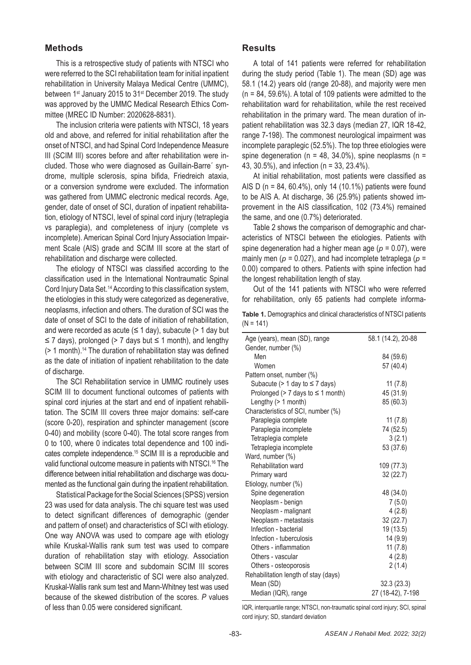# **Methods**

This is a retrospective study of patients with NTSCI who were referred to the SCI rehabilitation team for initial inpatient rehabilitation in University Malaya Medical Centre (UMMC), between 1<sup>st</sup> January 2015 to 31<sup>st</sup> December 2019. The study was approved by the UMMC Medical Research Ethics Committee (MREC ID Number: 2020628-8831).

The inclusion criteria were patients with NTSCI, 18 years old and above, and referred for initial rehabilitation after the onset of NTSCI, and had Spinal Cord Independence Measure III (SCIM III) scores before and after rehabilitation were included. Those who were diagnosed as Guillain-Barre´ syndrome, multiple sclerosis, spina bifida, Friedreich ataxia, or a conversion syndrome were excluded. The information was gathered from UMMC electronic medical records. Age, gender, date of onset of SCI, duration of inpatient rehabilitation, etiology of NTSCI, level of spinal cord injury (tetraplegia vs paraplegia), and completeness of injury (complete vs incomplete). American Spinal Cord Injury Association Impairment Scale (AIS) grade and SCIM III score at the start of rehabilitation and discharge were collected.

The etiology of NTSCI was classified according to the classification used in the International Nontraumatic Spinal Cord Injury Data Set.14 According to this classification system, the etiologies in this study were categorized as degenerative, neoplasms, infection and others. The duration of SCI was the date of onset of SCI to the date of initiation of rehabilitation, and were recorded as acute  $(\leq 1 \text{ day})$ , subacute  $(> 1 \text{ day}$  but ≤ 7 days), prolonged (> 7 days but ≤ 1 month), and lengthy  $($  1 month).<sup>14</sup> The duration of rehabilitation stay was defined as the date of initiation of inpatient rehabilitation to the date of discharge.

The SCI Rehabilitation service in UMMC routinely uses SCIM III to document functional outcomes of patients with spinal cord injuries at the start and end of inpatient rehabilitation. The SCIM III covers three major domains: self-care (score 0-20), respiration and sphincter management (score 0-40) and mobility (score 0-40). The total score ranges from 0 to 100, where 0 indicates total dependence and 100 indicates complete independence.15 SCIM III is a reproducible and valid functional outcome measure in patients with NTSCI.16 The difference between initial rehabilitation and discharge was documented as the functional gain during the inpatient rehabilitation.

Statistical Package for the Social Sciences (SPSS) version 23 was used for data analysis. The chi square test was used to detect significant differences of demographic (gender and pattern of onset) and characteristics of SCI with etiology. One way ANOVA was used to compare age with etiology while Kruskal-Wallis rank sum test was used to compare duration of rehabilitation stay with etiology. Association between SCIM III score and subdomain SCIM III scores with etiology and characteristic of SCI were also analyzed. Kruskal-Wallis rank sum test and Mann-Whitney test was used because of the skewed distribution of the scores. *P* values of less than 0.05 were considered significant.

### **Results**

A total of 141 patients were referred for rehabilitation during the study period (Table 1). The mean (SD) age was 58.1 (14.2) years old (range 20-88), and majority were men  $(n = 84, 59.6\%)$ . A total of 109 patients were admitted to the rehabilitation ward for rehabilitation, while the rest received rehabilitation in the primary ward. The mean duration of inpatient rehabilitation was 32.3 days (median 27, IQR 18-42, range 7-198). The commonest neurological impairment was incomplete paraplegic (52.5%). The top three etiologies were spine degeneration ( $n = 48$ , 34.0%), spine neoplasms ( $n =$ 43, 30.5%), and infection (n = 33, 23.4%).

At initial rehabilitation, most patients were classified as AIS D (n = 84, 60.4%), only 14 (10.1%) patients were found to be AIS A. At discharge, 36 (25.9%) patients showed improvement in the AIS classification, 102 (73.4%) remained the same, and one (0.7%) deteriorated.

Table 2 shows the comparison of demographic and characteristics of NTSCI between the etiologies. Patients with spine degeneration had a higher mean age (*p* = 0.07), were mainly men (*p* = 0.027), and had incomplete tetraplega (*p* = 0.00) compared to others. Patients with spine infection had the longest rehabilitation length of stay.

Out of the 141 patients with NTSCI who were referred for rehabilitation, only 65 patients had complete informa-

|             |  | Table 1. Demographics and clinical characteristics of NTSCI patients |
|-------------|--|----------------------------------------------------------------------|
| $(N = 141)$ |  |                                                                      |

| Age (years), mean (SD), range             | 58.1 (14.2), 20-88 |
|-------------------------------------------|--------------------|
| Gender, number (%)                        |                    |
| Men                                       | 84 (59.6)          |
| Women                                     | 57 (40.4)          |
| Pattern onset, number (%)                 |                    |
| Subacute ( $> 1$ day to $\leq 7$ days)    | 11(7.8)            |
| Prolonged ( $> 7$ days to $\leq 1$ month) | 45 (31.9)          |
| Lengthy (> 1 month)                       | 85 (60.3)          |
| Characteristics of SCI, number (%)        |                    |
| Paraplegia complete                       | 11(7.8)            |
| Paraplegia incomplete                     | 74 (52.5)          |
| Tetraplegia complete                      | 3(2.1)             |
| Tetraplegia incomplete                    | 53 (37.6)          |
| Ward, number (%)                          |                    |
| Rehabilitation ward                       | 109 (77.3)         |
| Primary ward                              | 32(22.7)           |
| Etiology, number (%)                      |                    |
| Spine degeneration                        | 48 (34.0)          |
| Neoplasm - benign                         | 7(5.0)             |
| Neoplasm - malignant                      | 4(2.8)             |
| Neoplasm - metastasis                     | 32 (22.7)          |
| Infection - bacterial                     | 19 (13.5)          |
| Infection - tuberculosis                  | 14 (9.9)           |
| Others - inflammation                     | 11(7.8)            |
| Others - vascular                         | 4(2.8)             |
| Others - osteoporosis                     | 2(1.4)             |
| Rehabilitation length of stay (days)      |                    |
| Mean (SD)                                 | 32.3(23.3)         |
| Median (IQR), range                       | 27 (18-42), 7-198  |

IQR, interquartile range; NTSCI, non-traumatic spinal cord injury; SCI, spinal cord injury; SD, standard deviation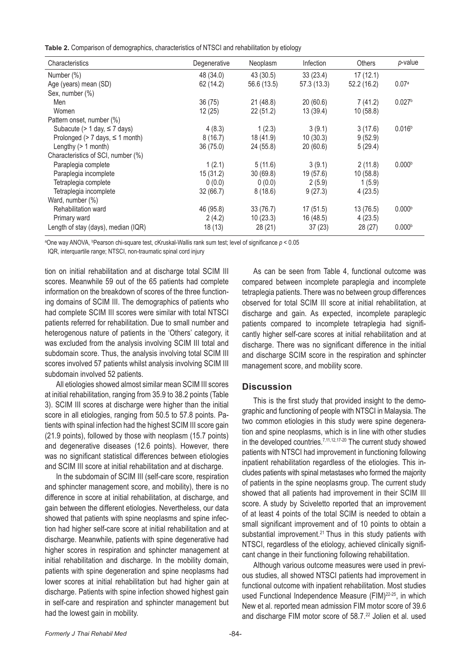**Table 2.** Comparison of demographics, characteristics of NTSCI and rehabilitation by etiology

| Characteristics                         | Degenerative | Neoplasm    | Infection  | Others      | p-value            |
|-----------------------------------------|--------------|-------------|------------|-------------|--------------------|
| Number (%)                              | 48 (34.0)    | 43(30.5)    | 33(23.4)   | 17(12.1)    |                    |
| Age (years) mean (SD)                   | 62 (14.2)    | 56.6 (13.5) | 57.3(13.3) | 52.2 (16.2) | 0.07a              |
| Sex, number (%)                         |              |             |            |             |                    |
| Men                                     | 36(75)       | 21(48.8)    | 20(60.6)   | 7(41.2)     | 0.027 <sup>b</sup> |
| Women                                   | 12(25)       | 22(51.2)    | 13(39.4)   | 10(58.8)    |                    |
| Pattern onset, number (%)               |              |             |            |             |                    |
| Subacute ( $> 1$ day, $\leq 7$ days)    | 4(8.3)       | 1(2.3)      | 3(9.1)     | 3(17.6)     | 0.016 <sup>b</sup> |
| Prolonged ( $> 7$ days, $\leq 1$ month) | 8(16.7)      | 18 (41.9)   | 10(30.3)   | 9(52.9)     |                    |
| Lengthy $(> 1$ month)                   | 36 (75.0)    | 24 (55.8)   | 20(60.6)   | 5(29.4)     |                    |
| Characteristics of SCI, number (%)      |              |             |            |             |                    |
| Paraplegia complete                     | 1(2.1)       | 5(11.6)     | 3(9.1)     | 2(11.8)     | 0.000 <sup>b</sup> |
| Paraplegia incomplete                   | 15(31.2)     | 30(69.8)    | 19 (57.6)  | 10(58.8)    |                    |
| Tetraplegia complete                    | 0(0.0)       | 0(0.0)      | 2(5.9)     | 1(5.9)      |                    |
| Tetraplegia incomplete                  | 32(66.7)     | 8(18.6)     | 9(27.3)    | 4(23.5)     |                    |
| Ward, number (%)                        |              |             |            |             |                    |
| Rehabilitation ward                     | 46 (95.8)    | 33(76.7)    | 17(51.5)   | 13(76.5)    | 0.000 <sup>b</sup> |
| Primary ward                            | 2(4.2)       | 10(23.3)    | 16 (48.5)  | 4(23.5)     |                    |
| Length of stay (days), median (IQR)     | 18(13)       | 28(21)      | 37(23)     | 28(27)      | 0.000 <sup>b</sup> |

a One way ANOVA, b Pearson chi-square test, cKruskal-Wallis rank sum test; level of significance *p* < 0.05

IQR, interquartile range; NTSCI, non-traumatic spinal cord injury

tion on initial rehabilitation and at discharge total SCIM III scores. Meanwhile 59 out of the 65 patients had complete information on the breakdown of scores of the three functioning domains of SCIM III. The demographics of patients who had complete SCIM III scores were similar with total NTSCI patients referred for rehabilitation. Due to small number and heterogenous nature of patients in the 'Others' category, it was excluded from the analysis involving SCIM III total and subdomain score. Thus, the analysis involving total SCIM III scores involved 57 patients whilst analysis involving SCIM III subdomain involved 52 patients.

All etiologies showed almost similar mean SCIM III scores at initial rehabilitation, ranging from 35.9 to 38.2 points (Table 3). SCIM III scores at discharge were higher than the initial score in all etiologies, ranging from 50.5 to 57.8 points. Patients with spinal infection had the highest SCIM III score gain (21.9 points), followed by those with neoplasm (15.7 points) and degenerative diseases (12.6 points). However, there was no significant statistical differences between etiologies and SCIM III score at initial rehabilitation and at discharge.

In the subdomain of SCIM III (self-care score, respiration and sphincter management score, and mobility), there is no difference in score at initial rehabilitation, at discharge, and gain between the different etiologies. Nevertheless, our data showed that patients with spine neoplasms and spine infection had higher self-care score at initial rehabilitation and at discharge. Meanwhile, patients with spine degenerative had higher scores in respiration and sphincter management at initial rehabilitation and discharge. In the mobility domain, patients with spine degeneration and spine neoplasms had lower scores at initial rehabilitation but had higher gain at discharge. Patients with spine infection showed highest gain in self-care and respiration and sphincter management but had the lowest gain in mobility.

As can be seen from Table 4, functional outcome was compared between incomplete paraplegia and incomplete tetraplegia patients. There was no between group differences observed for total SCIM III score at initial rehabilitation, at discharge and gain. As expected, incomplete paraplegic patients compared to incomplete tetraplegia had significantly higher self-care scores at initial rehabilitation and at discharge. There was no significant difference in the initial and discharge SCIM score in the respiration and sphincter management score, and mobility score.

#### **Discussion**

This is the first study that provided insight to the demographic and functioning of people with NTSCI in Malaysia. The two common etiologies in this study were spine degeneration and spine neoplasms, which is in line with other studies in the developed countries.<sup>7,11,12,17-20</sup> The current study showed patients with NTSCI had improvement in functioning following inpatient rehabilitation regardless of the etiologies. This includes patients with spinal metastases who formed the majority of patients in the spine neoplasms group. The current study showed that all patients had improvement in their SCIM III score. A study by Sciveletto reported that an improvement of at least 4 points of the total SCIM is needed to obtain a small significant improvement and of 10 points to obtain a substantial improvement.<sup>21</sup> Thus in this study patients with NTSCI, regardless of the etiology, achieved clinically significant change in their functioning following rehabilitation.

Although various outcome measures were used in previous studies, all showed NTSCI patients had improvement in functional outcome with inpatient rehabilitation. Most studies used Functional Independence Measure (FIM)<sup>22-25</sup>, in which New et al. reported mean admission FIM motor score of 39.6 and discharge FIM motor score of 58.7.<sup>22</sup> Jolien et al. used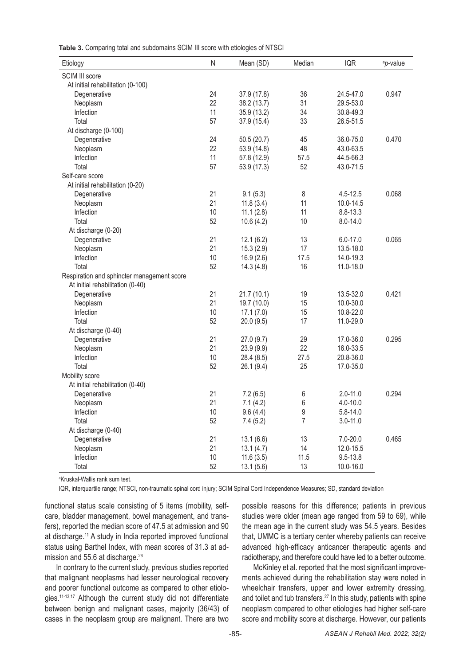**Table 3.** Comparing total and subdomains SCIM III score with etiologies of NTSCI

| Etiology                                   | $\mathsf{N}$ | Mean (SD)   | Median           | <b>IQR</b>   | <sup>a</sup> p-value |
|--------------------------------------------|--------------|-------------|------------------|--------------|----------------------|
| SCIM III score                             |              |             |                  |              |                      |
| At initial rehabilitation (0-100)          |              |             |                  |              |                      |
| Degenerative                               | 24           | 37.9 (17.8) | 36               | 24.5-47.0    | 0.947                |
| Neoplasm                                   | 22           | 38.2 (13.7) | 31               | 29.5-53.0    |                      |
| Infection                                  | 11           | 35.9 (13.2) | 34               | 30.8-49.3    |                      |
| Total                                      | 57           | 37.9 (15.4) | 33               | 26.5-51.5    |                      |
| At discharge (0-100)                       |              |             |                  |              |                      |
| Degenerative                               | 24           | 50.5(20.7)  | 45               | 36.0-75.0    | 0.470                |
| Neoplasm                                   | 22           | 53.9 (14.8) | 48               | 43.0-63.5    |                      |
| Infection                                  | 11           | 57.8 (12.9) | 57.5             | 44.5-66.3    |                      |
| Total                                      | 57           | 53.9 (17.3) | 52               | 43.0-71.5    |                      |
| Self-care score                            |              |             |                  |              |                      |
| At initial rehabilitation (0-20)           |              |             |                  |              |                      |
| Degenerative                               | 21           | 9.1(5.3)    | 8                | $4.5 - 12.5$ | 0.068                |
| Neoplasm                                   | 21           | 11.8(3.4)   | 11               | 10.0-14.5    |                      |
| Infection                                  | 10           | 11.1(2.8)   | 11               | 8.8-13.3     |                      |
| Total                                      | 52           | 10.6(4.2)   | 10               | 8.0-14.0     |                      |
| At discharge (0-20)                        |              |             |                  |              |                      |
| Degenerative                               | 21           | 12.1(6.2)   | 13               | $6.0 - 17.0$ | 0.065                |
| Neoplasm                                   | 21           | 15.3(2.9)   | 17               | 13.5-18.0    |                      |
| Infection                                  | 10           | 16.9(2.6)   | 17.5             | 14.0-19.3    |                      |
| Total                                      | 52           | 14.3(4.8)   | 16               | 11.0-18.0    |                      |
| Respiration and sphincter management score |              |             |                  |              |                      |
| At initial rehabilitation (0-40)           |              |             |                  |              |                      |
| Degenerative                               | 21           | 21.7(10.1)  | 19               | 13.5-32.0    | 0.421                |
| Neoplasm                                   | 21           | 19.7 (10.0) | 15               | 10.0-30.0    |                      |
| Infection                                  | 10           | 17.1(7.0)   | 15               | 10.8-22.0    |                      |
| Total                                      | 52           | 20.0(9.5)   | 17               | 11.0-29.0    |                      |
| At discharge (0-40)                        |              |             |                  |              |                      |
| Degenerative                               | 21           | 27.0(9.7)   | 29               | 17.0-36.0    | 0.295                |
| Neoplasm                                   | 21           | 23.9(9.9)   | 22               | 16.0-33.5    |                      |
| Infection                                  | 10           | 28.4 (8.5)  | 27.5             | 20.8-36.0    |                      |
| Total                                      | 52           | 26.1 (9.4)  | 25               | 17.0-35.0    |                      |
| Mobility score                             |              |             |                  |              |                      |
| At initial rehabilitation (0-40)           |              |             |                  |              |                      |
| Degenerative                               | 21           | 7.2(6.5)    | 6                | $2.0 - 11.0$ | 0.294                |
| Neoplasm                                   | 21           | 7.1(4.2)    | 6                | $4.0 - 10.0$ |                      |
| Infection                                  | 10           | 9.6(4.4)    | $\boldsymbol{9}$ | 5.8-14.0     |                      |
| Total                                      | 52           | 7.4(5.2)    | 7                | $3.0 - 11.0$ |                      |
| At discharge (0-40)                        |              |             |                  |              |                      |
| Degenerative                               | 21           | 13.1(6.6)   | 13               | 7.0-20.0     | 0.465                |
| Neoplasm                                   | 21           | 13.1(4.7)   | 14               | 12.0-15.5    |                      |
| Infection                                  | $10$         | 11.6(3.5)   | 11.5             | 9.5-13.8     |                      |
| Total                                      | 52           | 13.1(5.6)   | 13               | 10.0-16.0    |                      |
|                                            |              |             |                  |              |                      |

a Kruskal-Wallis rank sum test.

IQR, interquartile range; NTSCI, non-traumatic spinal cord injury; SCIM Spinal Cord Independence Measures; SD, standard deviation

functional status scale consisting of 5 items (mobility, selfcare, bladder management, bowel management, and transfers), reported the median score of 47.5 at admission and 90 at discharge.11 A study in India reported improved functional status using Barthel Index, with mean scores of 31.3 at admission and 55.6 at discharge.<sup>26</sup>

In contrary to the current study, previous studies reported that malignant neoplasms had lesser neurological recovery and poorer functional outcome as compared to other etiologies.<sup>11-13,17</sup> Although the current study did not differentiate between benign and malignant cases, majority (36/43) of cases in the neoplasm group are malignant. There are two

possible reasons for this difference; patients in previous studies were older (mean age ranged from 59 to 69), while the mean age in the current study was 54.5 years. Besides that, UMMC is a tertiary center whereby patients can receive advanced high-efficacy anticancer therapeutic agents and radiotherapy, and therefore could have led to a better outcome.

McKinley et al. reported that the most significant improvements achieved during the rehabilitation stay were noted in wheelchair transfers, upper and lower extremity dressing, and toilet and tub transfers.27 In this study, patients with spine neoplasm compared to other etiologies had higher self-care score and mobility score at discharge. However, our patients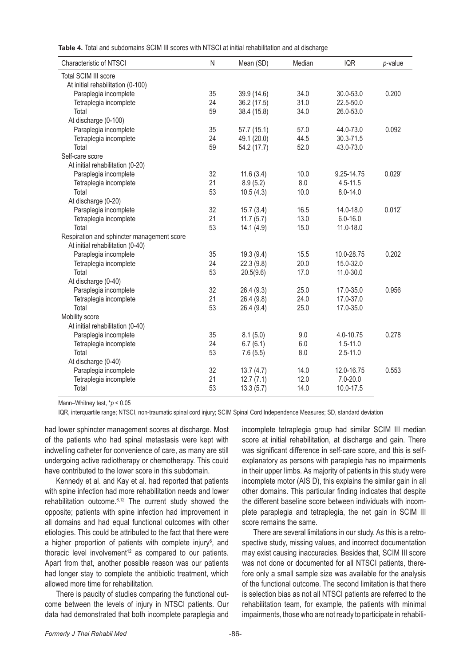**Table 4.** Total and subdomains SCIM III scores with NTSCI at initial rehabilitation and at discharge

| <b>Characteristic of NTSCI</b>             | $\mathsf{N}$ | Mean (SD)   | Median | <b>IQR</b>   | $p$ -value           |
|--------------------------------------------|--------------|-------------|--------|--------------|----------------------|
| <b>Total SCIM III score</b>                |              |             |        |              |                      |
| At initial rehabilitation (0-100)          |              |             |        |              |                      |
| Paraplegia incomplete                      | 35           | 39.9 (14.6) | 34.0   | 30.0-53.0    | 0.200                |
| Tetraplegia incomplete                     | 24           | 36.2 (17.5) | 31.0   | 22.5-50.0    |                      |
| Total                                      | 59           | 38.4 (15.8) | 34.0   | 26.0-53.0    |                      |
| At discharge (0-100)                       |              |             |        |              |                      |
| Paraplegia incomplete                      | 35           | 57.7 (15.1) | 57.0   | 44.0-73.0    | 0.092                |
| Tetraplegia incomplete                     | 24           | 49.1 (20.0) | 44.5   | 30.3-71.5    |                      |
| Total                                      | 59           | 54.2 (17.7) | 52.0   | 43.0-73.0    |                      |
| Self-care score                            |              |             |        |              |                      |
| At initial rehabilitation (0-20)           |              |             |        |              |                      |
| Paraplegia incomplete                      | 32           | 11.6(3.4)   | 10.0   | 9.25-14.75   | $0.029$ <sup>*</sup> |
| Tetraplegia incomplete                     | 21           | 8.9(5.2)    | 8.0    | $4.5 - 11.5$ |                      |
| Total                                      | 53           | 10.5(4.3)   | 10.0   | 8.0-14.0     |                      |
| At discharge (0-20)                        |              |             |        |              |                      |
| Paraplegia incomplete                      | 32           | 15.7(3.4)   | 16.5   | 14.0-18.0    | $0.012$ <sup>*</sup> |
| Tetraplegia incomplete                     | 21           | 11.7(5.7)   | 13.0   | $6.0 - 16.0$ |                      |
| Total                                      | 53           | 14.1(4.9)   | 15.0   | 11.0-18.0    |                      |
| Respiration and sphincter management score |              |             |        |              |                      |
| At initial rehabilitation (0-40)           |              |             |        |              |                      |
| Paraplegia incomplete                      | 35           | 19.3(9.4)   | 15.5   | 10.0-28.75   | 0.202                |
| Tetraplegia incomplete                     | 24           | 22.3(9.8)   | 20.0   | 15.0-32.0    |                      |
| Total                                      | 53           | 20.5(9.6)   | 17.0   | 11.0-30.0    |                      |
| At discharge (0-40)                        |              |             |        |              |                      |
| Paraplegia incomplete                      | 32           | 26.4 (9.3)  | 25.0   | 17.0-35.0    | 0.956                |
| Tetraplegia incomplete                     | 21           | 26.4 (9.8)  | 24.0   | 17.0-37.0    |                      |
| Total                                      | 53           | 26.4 (9.4)  | 25.0   | 17.0-35.0    |                      |
| Mobility score                             |              |             |        |              |                      |
| At initial rehabilitation (0-40)           |              |             |        |              |                      |
| Paraplegia incomplete                      | 35           | 8.1(5.0)    | 9.0    | 4.0-10.75    | 0.278                |
| Tetraplegia incomplete                     | 24           | 6.7(6.1)    | 6.0    | $1.5 - 11.0$ |                      |
| Total                                      | 53           | 7.6(5.5)    | 8.0    | $2.5 - 11.0$ |                      |
| At discharge (0-40)                        |              |             |        |              |                      |
| Paraplegia incomplete                      | 32           | 13.7(4.7)   | 14.0   | 12.0-16.75   | 0.553                |
| Tetraplegia incomplete                     | 21           | 12.7(7.1)   | 12.0   | $7.0 - 20.0$ |                      |
| Total                                      | 53           | 13.3(5.7)   | 14.0   | 10.0-17.5    |                      |

Mann–Whitney test, \**p* < 0.05

IQR, interquartile range; NTSCI, non-traumatic spinal cord injury; SCIM Spinal Cord Independence Measures; SD, standard deviation

had lower sphincter management scores at discharge. Most of the patients who had spinal metastasis were kept with indwelling catheter for convenience of care, as many are still undergoing active radiotherapy or chemotherapy. This could have contributed to the lower score in this subdomain.

Kennedy et al. and Kay et al. had reported that patients with spine infection had more rehabilitation needs and lower rehabilitation outcome.6,12 The current study showed the opposite; patients with spine infection had improvement in all domains and had equal functional outcomes with other etiologies. This could be attributed to the fact that there were a higher proportion of patients with complete injury<sup>6</sup>, and thoracic level involvement<sup>12</sup> as compared to our patients. Apart from that, another possible reason was our patients had longer stay to complete the antibiotic treatment, which allowed more time for rehabilitation.

There is paucity of studies comparing the functional outcome between the levels of injury in NTSCI patients. Our data had demonstrated that both incomplete paraplegia and

incomplete tetraplegia group had similar SCIM III median score at initial rehabilitation, at discharge and gain. There was significant difference in self-care score, and this is selfexplanatory as persons with paraplegia has no impairments in their upper limbs. As majority of patients in this study were incomplete motor (AIS D), this explains the similar gain in all other domains. This particular finding indicates that despite the different baseline score between individuals with incomplete paraplegia and tetraplegia, the net gain in SCIM III score remains the same.

There are several limitations in our study. As this is a retrospective study, missing values, and incorrect documentation may exist causing inaccuracies. Besides that, SCIM III score was not done or documented for all NTSCI patients, therefore only a small sample size was available for the analysis of the functional outcome. The second limitation is that there is selection bias as not all NTSCI patients are referred to the rehabilitation team, for example, the patients with minimal impairments, those who are not ready to participate in rehabili-